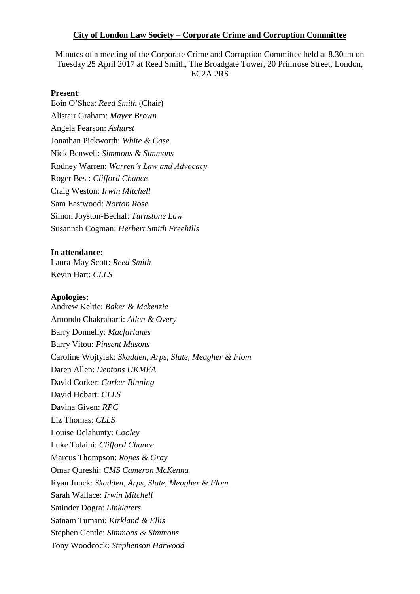### **City of London Law Society – Corporate Crime and Corruption Committee**

Minutes of a meeting of the Corporate Crime and Corruption Committee held at 8.30am on Tuesday 25 April 2017 at Reed Smith, The Broadgate Tower, 20 Primrose Street, London, EC2A 2RS

### **Present**:

Eoin O'Shea: *Reed Smith* (Chair) Alistair Graham: *Mayer Brown* Angela Pearson: *Ashurst* Jonathan Pickworth: *White & Case* Nick Benwell: *Simmons & Simmons* Rodney Warren: *Warren's Law and Advocacy*  Roger Best: *Clifford Chance* Craig Weston: *Irwin Mitchell* Sam Eastwood: *Norton Rose* Simon Joyston-Bechal: *Turnstone Law* Susannah Cogman: *Herbert Smith Freehills* 

#### **In attendance:**

Laura-May Scott: *Reed Smith* Kevin Hart: *CLLS*

### **Apologies:**

Andrew Keltie: *Baker & Mckenzie* Arnondo Chakrabarti: *Allen & Overy* Barry Donnelly: *Macfarlanes* Barry Vitou: *Pinsent Masons* Caroline Wojtylak: *Skadden, Arps, Slate, Meagher & Flom* Daren Allen: *Dentons UKMEA*  David Corker: *Corker Binning* David Hobart: *CLLS* Davina Given: *RPC* Liz Thomas: *CLLS* Louise Delahunty: *Cooley* Luke Tolaini: *Clifford Chance* Marcus Thompson: *Ropes & Gray* Omar Qureshi: *CMS Cameron McKenna* Ryan Junck: *Skadden, Arps, Slate, Meagher & Flom* Sarah Wallace: *Irwin Mitchell* Satinder Dogra: *Linklaters* Satnam Tumani: *Kirkland & Ellis* Stephen Gentle: *Simmons & Simmons* Tony Woodcock: *Stephenson Harwood*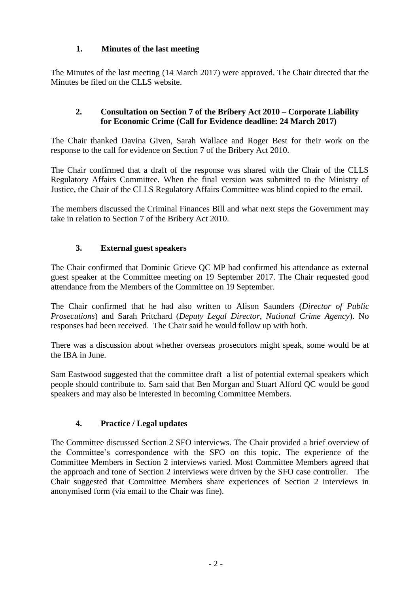# **1. Minutes of the last meeting**

The Minutes of the last meeting (14 March 2017) were approved. The Chair directed that the Minutes be filed on the CLLS website.

## **2. Consultation on Section 7 of the Bribery Act 2010 – Corporate Liability for Economic Crime (Call for Evidence deadline: 24 March 2017)**

The Chair thanked Davina Given, Sarah Wallace and Roger Best for their work on the response to the call for evidence on Section 7 of the Bribery Act 2010.

The Chair confirmed that a draft of the response was shared with the Chair of the CLLS Regulatory Affairs Committee. When the final version was submitted to the Ministry of Justice, the Chair of the CLLS Regulatory Affairs Committee was blind copied to the email.

The members discussed the Criminal Finances Bill and what next steps the Government may take in relation to Section 7 of the Bribery Act 2010.

## **3. External guest speakers**

The Chair confirmed that Dominic Grieve QC MP had confirmed his attendance as external guest speaker at the Committee meeting on 19 September 2017. The Chair requested good attendance from the Members of the Committee on 19 September.

The Chair confirmed that he had also written to Alison Saunders (*Director of Public Prosecutions*) and Sarah Pritchard (*Deputy Legal Director, National Crime Agency*). No responses had been received. The Chair said he would follow up with both.

There was a discussion about whether overseas prosecutors might speak, some would be at the IBA in June.

Sam Eastwood suggested that the committee draft a list of potential external speakers which people should contribute to. Sam said that Ben Morgan and Stuart Alford QC would be good speakers and may also be interested in becoming Committee Members.

## **4. Practice / Legal updates**

The Committee discussed Section 2 SFO interviews. The Chair provided a brief overview of the Committee's correspondence with the SFO on this topic. The experience of the Committee Members in Section 2 interviews varied. Most Committee Members agreed that the approach and tone of Section 2 interviews were driven by the SFO case controller. The Chair suggested that Committee Members share experiences of Section 2 interviews in anonymised form (via email to the Chair was fine).